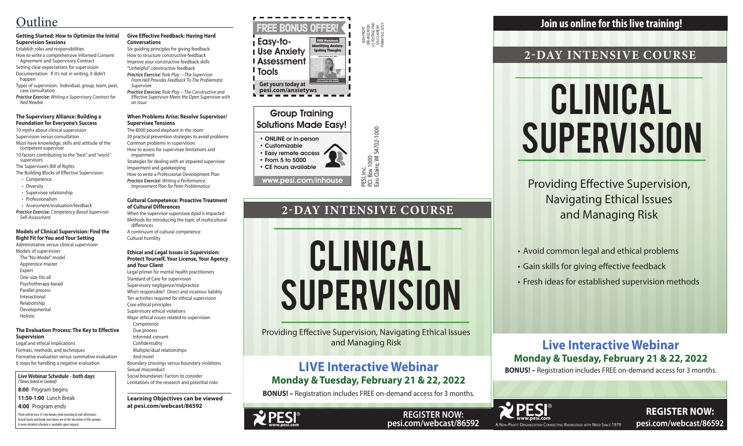

**REGISTER NOW: pesi.com/webcast/86592**

PESI, Inc.<br>P.O. Box 1000<br>Eau Claire, WI 54702-1000 P.O. Box 1000

NON-PROFIT ORGANIZATION U.S. POSTAGE PAID EAU CLAIRE WI PERMIT NO. 32729

Eau Claire, WI 54702-1000

### Group Training Solutions Made Easy!

### • ONLINE or in-person

• Customizable • Easy remote access • From 5 to 5000

• CE hours available

There will be two 15-min breaks (mid-morning & mid-afternoon). Actual lunch and break start times are at the discretion of the speaker. A more detailed schedule is available upon request.

# Clinical **SUPERVISION**



**Live Webinar Schedule - both days** *(Times listed in Central)*

**8:00** Program begins **11:50-1:00** Lunch Break

**4:00** Program ends

# Clinical **SUPERVISION**

# **2-DAY INTENSIVE COURSE**

Providing Effective Supervision, Navigating Ethical Issues and Managing Risk

FREE BONUS OFFER Easy-to-Use Anxiety Assessment **I** Tools **Get yours today at pesi.com/anxietyws** Intifying Anxi<mark>et</mark> Igniting Thoughts A practical tool for helping clients examine their anxiety. FREE Worksheets Catherine Pittman, Ph.D., HSPP

> • Avoid common legal and ethical problems • Gain skills for giving effective feedback • Fresh ideas for established supervision methods

## **Join us online for this live training!**

**REGISTER NOW: pesi.com/webcast/86592**

# **Live Interactive Webinar Monday & Tuesday, February 21 & 22, 2022**

**BONUS! –** Registration includes FREE on-demand access for 3 months.

# **2-DAY INTENSIVE COURSE**

Providing Effective Supervision, Navigating Ethical Issues and Managing Risk

### **Getting Started: How to Optimize the Initial Supervision Sessions**

Establish roles and responsibilities How to write a comprehensive Informed Consent Agreement and Supervisory Contract

Setting clear expectations for supervision Documentation: If it's not in writing, it didn't happen

Types of supervision: Individual, group, team, peer, case consultation

*Practice Exercise: Writing a Supervisory Contract for Ned Newbie*

#### **The Supervisory Alliance: Building a Foundation for Everyone's Success**

10 myths about clinical supervision

Supervision versus consultation

Must-have knowledge, skills and attitude of the competent supervisor

10 factors contributing to the "best" and "worst" supervisors

The Supervisee's Bill of Rights

- The Building Blocks of Effective Supervision:
- Competence
- Diversity
- Supervisee relationship
- Professionalism
- Assessment/evaluation/feedback

*Practice Exercise: Competency-Based Supervisor Self-Assessment*

### **Models of Clinical Supervision: Find the Right Fit for You and Your Setting**

Administrative versus clinical supervision Models of supervision: The "No-Model" model Apprentice-master

- Expert
- One-size-fits-all
- Psychotherapy-based
- Parallel process
- Interactional Relationship
- Developmental

Holistic

### **The Evaluation Process: The Key to Effective Supervision**

Legal and ethical implications Formats, methods, and techniques Formative evaluation versus summative evaluation 6 steps for handling a negative evaluation



- 
- 
- -

### **Give Effective Feedback: Having Hard Conversations**

Six guiding principles for giving feedback How to structure constructive feedback Improve your constructive feedback skills

"Unhelpful" constructive feedback *Practice Exercise: Role Play ---The Supervisor* 

*From Hell Provides Feedback To The Problematic Supervisee*

*Practice Exercise: Role Play -- The Constructive and Effective Supervisor Meets the Open Supervisee with an Issue*

### **When Problems Arise: Resolve Supervisor/ Supervisee Tensions**

The 8000 pound elephant in the room

20 practical prevention strategies to avoid problems Common problems in supervision

How to assess for supervisee limitations and impairment

Strategies for dealing with an impaired supervisee

Impairment and gatekeeping How to write a Professional Development Plan

*Practice Exercise: Writing a Performance Improvement Plan for Peter Problematica*

#### **Cultural Competence: Proactive Treatment of Cultural Differences**

When the supervisor-supervisee dyad is impacted Methods for introducing the topic of multicultural differences

A continuum of cultural competence Cultural humility

### **Ethical and Legal Issues in Supervision: Protect Yourself, Your License, Your Agency and Your Client**

Legal primer for mental health practitioners Standard of Care for supervision Supervisory negligence/malpractice Who's responsible? Direct and vicarious liability Ten activities required for ethical supervision Core ethical principles Supervisory ethical violations Major ethical issues related to supervision Competence Due process

Informed consent

 Confidentiality Multiple/dual relationships

And more!

Boundary crossings versus boundary violations Sexual misconduct Social boundaries: Factors to consider

Limitations of the research and potential risks

**Learning Objectives can be viewed at pesi.com/webcast/86592**

# Outline

# **LIVE Interactive Webinar Monday & Tuesday, February 21 & 22, 2022**

**BONUS! –** Registration includes FREE on-demand access for 3 months.